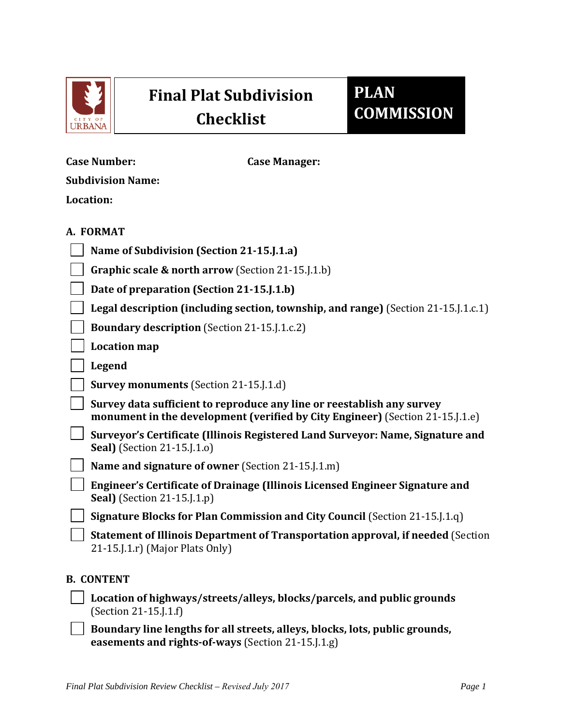

## **Final Plat Subdivision Checklist**

## **PLAN COMMISSION**

| <b>Case Number:</b>                 | <b>Case Manager:</b>                                                                                                                                      |
|-------------------------------------|-----------------------------------------------------------------------------------------------------------------------------------------------------------|
| <b>Subdivision Name:</b>            |                                                                                                                                                           |
| Location:                           |                                                                                                                                                           |
| A. FORMAT                           |                                                                                                                                                           |
|                                     | Name of Subdivision (Section 21-15.J.1.a)                                                                                                                 |
|                                     | Graphic scale & north arrow (Section 21-15.J.1.b)                                                                                                         |
|                                     | Date of preparation (Section 21-15.J.1.b)                                                                                                                 |
|                                     | Legal description (including section, township, and range) (Section 21-15. [1.c.1]                                                                        |
|                                     | <b>Boundary description</b> (Section 21-15.J.1.c.2)                                                                                                       |
| <b>Location map</b>                 |                                                                                                                                                           |
| Legend                              |                                                                                                                                                           |
|                                     | <b>Survey monuments</b> (Section 21-15.1.1.d)                                                                                                             |
|                                     | Survey data sufficient to reproduce any line or reestablish any survey<br>monument in the development (verified by City Engineer) (Section 21-15. J. 1.e) |
| <b>Seal</b> ) (Section 21-15.J.1.o) | Surveyor's Certificate (Illinois Registered Land Surveyor: Name, Signature and                                                                            |
|                                     | Name and signature of owner (Section 21-15.J.1.m)                                                                                                         |
| <b>Seal</b> ) (Section 21-15.J.1.p) | Engineer's Certificate of Drainage (Illinois Licensed Engineer Signature and                                                                              |
|                                     | Signature Blocks for Plan Commission and City Council (Section 21-15.J.1.q)                                                                               |
| $21-15$ . [.1.r] (Major Plats Only) | Statement of Illinois Department of Transportation approval, if needed (Section                                                                           |
| <b>B. CONTENT</b>                   |                                                                                                                                                           |
| (Section 21-15.J.1.f)               | Location of highways/streets/alleys, blocks/parcels, and public grounds                                                                                   |

**Boundary line lengths for all streets, alleys, blocks, lots, public grounds, easements and rights-of-ways** (Section 21-15.J.1.g)